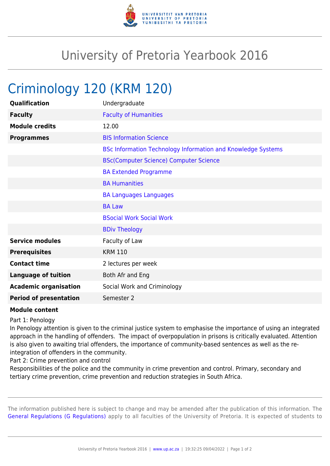

## University of Pretoria Yearbook 2016

## Criminology 120 (KRM 120)

| Qualification                 | Undergraduate                                                       |
|-------------------------------|---------------------------------------------------------------------|
| <b>Faculty</b>                | <b>Faculty of Humanities</b>                                        |
| <b>Module credits</b>         | 12.00                                                               |
| <b>Programmes</b>             | <b>BIS Information Science</b>                                      |
|                               | <b>BSc Information Technology Information and Knowledge Systems</b> |
|                               | <b>BSc(Computer Science) Computer Science</b>                       |
|                               | <b>BA Extended Programme</b>                                        |
|                               | <b>BA Humanities</b>                                                |
|                               | <b>BA Languages Languages</b>                                       |
|                               | <b>BA Law</b>                                                       |
|                               | <b>BSocial Work Social Work</b>                                     |
|                               | <b>BDiv Theology</b>                                                |
| <b>Service modules</b>        | Faculty of Law                                                      |
| <b>Prerequisites</b>          | <b>KRM 110</b>                                                      |
| <b>Contact time</b>           | 2 lectures per week                                                 |
| <b>Language of tuition</b>    | Both Afr and Eng                                                    |
| <b>Academic organisation</b>  | Social Work and Criminology                                         |
| <b>Period of presentation</b> | Semester 2                                                          |

## **Module content**

Part 1: Penology

In Penology attention is given to the criminal justice system to emphasise the importance of using an integrated approach in the handling of offenders. The impact of overpopulation in prisons is critically evaluated. Attention is also given to awaiting trial offenders, the importance of community-based sentences as well as the reintegration of offenders in the community.

Part 2: Crime prevention and control

Responsibilities of the police and the community in crime prevention and control. Primary, secondary and tertiary crime prevention, crime prevention and reduction strategies in South Africa.

The information published here is subject to change and may be amended after the publication of this information. The [General Regulations \(G Regulations\)](https://www.up.ac.za/parents/yearbooks/2016/rules/view/REG) apply to all faculties of the University of Pretoria. It is expected of students to